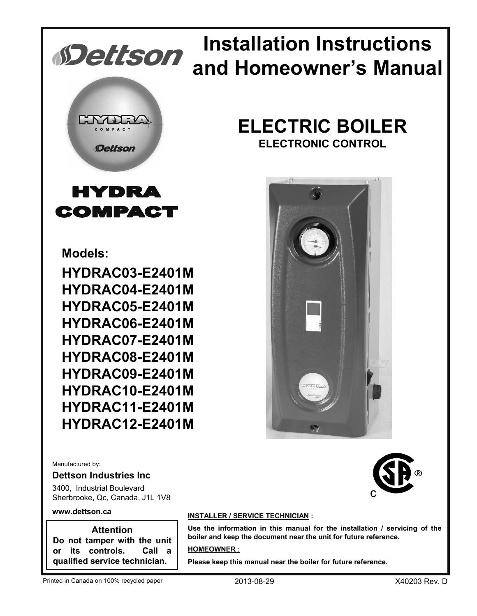

COMPACT

# **Installation Instructions and Homeowner's Manual**

# **ELECTRIC BOILER**

**ELECTRONIC CONTROL**



**Models:**

**HYDRAC03-E2401M HYDRAC04-E2401M HYDRAC05-E2401M HYDRAC06-E2401M HYDRAC07-E2401M HYDRAC08-E2401M HYDRAC09-E2401M HYDRAC10-E2401M HYDRAC11-E2401M HYDRAC12-E2401M**

Manufactured by:

#### **Dettson Industries Inc**

3400, Industrial Boulevard Sherbrooke, Qc, Canada, J1L 1V8

#### **www.dettson.ca**

**Attention Do not tamper with the unit or its controls. Call a qualified service technician.**

#### **INSTALLER / SERVICE TECHNICIAN :**

**Use the information in this manual for the installation / servicing of the boiler and keep the document near the unit for future reference.**

#### **HOMEOWNER :**

**Please keep this manual near the boiler for future reference.**

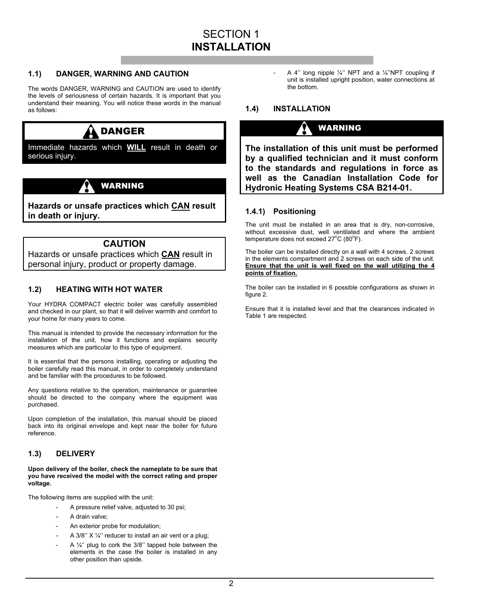#### **1.1) DANGER, WARNING AND CAUTION**

The words DANGER, WARNING and CAUTION are used to identify the levels of seriousness of certain hazards. It is important that you understand their meaning. You will notice these words in the manual as follows:

# DANGER

Immediate hazards which **WILL** result in death or serious injury.

## WARNING

**Hazards or unsafe practices which CAN result in death or injury.** 

#### **CAUTION**

Hazards or unsafe practices which **CAN** result in personal injury, product or property damage.

#### **1.2) HEATING WITH HOT WATER**

Your HYDRA COMPACT electric boiler was carefully assembled and checked in our plant, so that it will deliver warmth and comfort to your home for many years to come.

This manual is intended to provide the necessary information for the installation of the unit, how it functions and explains security measures which are particular to this type of equipment.

It is essential that the persons installing, operating or adjusting the boiler carefully read this manual, in order to completely understand and be familiar with the procedures to be followed.

Any questions relative to the operation, maintenance or guarantee should be directed to the company where the equipment was purchased.

Upon completion of the installation, this manual should be placed back into its original envelope and kept near the boiler for future reference.

#### **1.3) DELIVERY**

**Upon delivery of the boiler, check the nameplate to be sure that you have received the model with the correct rating and proper voltage.** 

The following items are supplied with the unit:

- A pressure relief valve, adjusted to 30 psi;
- A drain valve:
- An exterior probe for modulation;
- A 3/8"  $X$  1/4" reducer to install an air vent or a plug;
- A  $\frac{1}{4}$ " plug to cork the 3/8" tapped hole between the elements in the case the boiler is installed in any other position than upside.

A 4" long nipple  $\frac{1}{4}$ " NPT and a  $\frac{1}{4}$ "NPT coupling if unit is installed upright position, water connections at the bottom.

#### **1.4) INSTALLATION**

## WARNING

**The installation of this unit must be performed by a qualified technician and it must conform to the standards and regulations in force as well as the Canadian Installation Code for Hydronic Heating Systems CSA B214-01.** 

#### **1.4.1) Positioning**

The unit must be installed in an area that is dry, non-corrosive, without excessive dust, well ventilated and where the ambient temperature does not exceed  $27^{\circ}$ C (80 $^{\circ}$ F).

The boiler can be installed directly on a wall with 4 screws. 2 screws in the elements compartment and 2 screws on each side of the unit. **Ensure that the unit is well fixed on the wall utilizing the 4 points of fixation.**

The boiler can be installed in 6 possible configurations as shown in figure 2.

Ensure that it is installed level and that the clearances indicated in Table 1 are respected.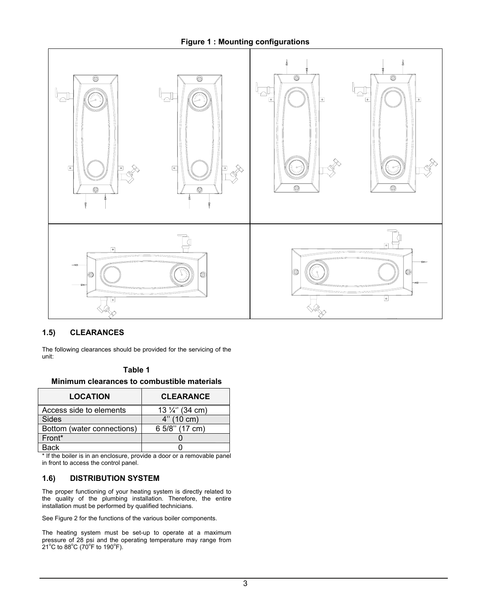#### **Figure 1 : Mounting configurations**



#### **1.5) CLEARANCES**

The following clearances should be provided for the servicing of the unit:

#### **Table 1**

**Minimum clearances to combustible materials** 

| <b>LOCATION</b>            | <b>CLEARANCE</b>           |
|----------------------------|----------------------------|
| Access side to elements    | 13 $\frac{1}{4}$ " (34 cm) |
| Sides                      | 4" (10 cm)                 |
| Bottom (water connections) | 6 5/8" (17 cm)             |
| Front*                     |                            |
| <b>Back</b>                |                            |

\* If the boiler is in an enclosure, provide a door or a removable panel in front to access the control panel.

#### **1.6) DISTRIBUTION SYSTEM**

The proper functioning of your heating system is directly related to the quality of the plumbing installation. Therefore, the entire installation must be performed by qualified technicians.

See Figure 2 for the functions of the various boiler components.

The heating system must be set-up to operate at a maximum pressure of 28 psi and the operating temperature may range from  $21^{\circ}$ C to 88 $^{\circ}$ C (70 $^{\circ}$ F to 190 $^{\circ}$ F).  $^{\circ}$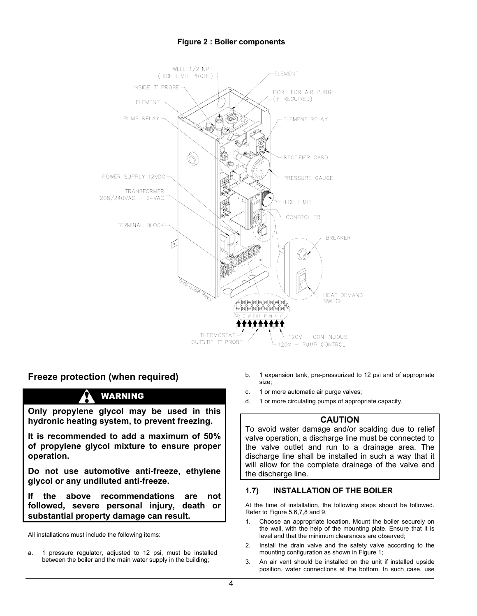#### **Figure 2 : Boiler components**



### **Freeze protection (when required)**

## WARNING

**Only propylene glycol may be used in this hydronic heating system, to prevent freezing.** 

**It is recommended to add a maximum of 50% of propylene glycol mixture to ensure proper operation.** 

**Do not use automotive anti-freeze, ethylene glycol or any undiluted anti-freeze.** 

**If the above recommendations are not followed, severe personal injury, death or substantial property damage can result.** 

All installations must include the following items:

a. 1 pressure regulator, adjusted to 12 psi, must be installed between the boiler and the main water supply in the building;

- b. 1 expansion tank, pre-pressurized to 12 psi and of appropriate size;
- c. 1 or more automatic air purge valves;
- d. 1 or more circulating pumps of appropriate capacity.

#### **CAUTION**

To avoid water damage and/or scalding due to relief valve operation, a discharge line must be connected to the valve outlet and run to a drainage area. The discharge line shall be installed in such a way that it will allow for the complete drainage of the valve and the discharge line.

#### **1.7) INSTALLATION OF THE BOILER**

At the time of installation, the following steps should be followed. Refer to Figure 5,6,7,8 and 9.

- 1. Choose an appropriate location. Mount the boiler securely on the wall, with the help of the mounting plate. Ensure that it is level and that the minimum clearances are observed;
- 2. Install the drain valve and the safety valve according to the mounting configuration as shown in Figure 1;
- 3. An air vent should be installed on the unit if installed upside position, water connections at the bottom. In such case, use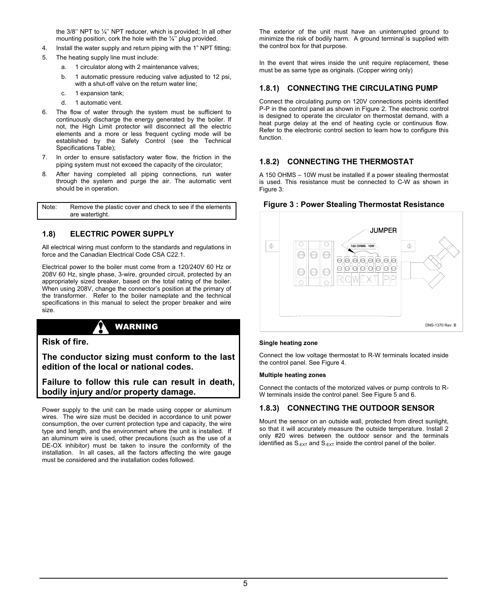the 3/8'' NPT to ¼'' NPT reducer, which is provided; In all other mounting position, cork the hole with the 1/4" plug provided.

- 4. Install the water supply and return piping with the 1" NPT fitting;
- 5. The heating supply line must include:
	- a. 1 circulator along with 2 maintenance valves;
	- b. 1 automatic pressure reducing valve adjusted to 12 psi, with a shut-off valve on the return water line;
	- c. 1 expansion tank;
	- d. 1 automatic vent.
- 6. The flow of water through the system must be sufficient to continuously discharge the energy generated by the boiler. If not, the High Limit protector will disconnect all the electric elements and a more or less frequent cycling mode will be established by the Safety Control (see the Technical Specifications Table);
- 7. In order to ensure satisfactory water flow, the friction in the piping system must not exceed the capacity of the circulator;
- 8. After having completed all piping connections, run water through the system and purge the air. The automatic vent should be in operation.

Note: Remove the plastic cover and check to see if the elements are watertight.

#### **1.8) ELECTRIC POWER SUPPLY**

All electrical wiring must conform to the standards and regulations in force and the Canadian Electrical Code CSA C22.1.

Electrical power to the boiler must come from a 120/240V 60 Hz or 208V 60 Hz, single phase, 3-wire, grounded circuit, protected by an appropriately sized breaker, based on the total rating of the boiler. When using 208V, change the connector's position at the primary of the transformer. Refer to the boiler nameplate and the technical specifications in this manual to select the proper breaker and wire size.



**Risk of fire.** 

**The conductor sizing must conform to the last edition of the local or national codes.** 

**Failure to follow this rule can result in death, bodily injury and/or property damage.** 

Power supply to the unit can be made using copper or aluminum wires. The wire size must be decided in accordance to unit power consumption, the over current protection type and capacity, the wire type and length, and the environment where the unit is installed. If an aluminum wire is used, other precautions (such as the use of a DE-OX inhibitor) must be taken to insure the conformity of the installation. In all cases, all the factors affecting the wire gauge must be considered and the installation codes followed.

The exterior of the unit must have an uninterrupted ground to minimize the risk of bodily harm. A ground terminal is supplied with the control box for that purpose.

In the event that wires inside the unit require replacement, these must be as same type as originals. (Copper wiring only)

#### **1.8.1) CONNECTING THE CIRCULATING PUMP**

Connect the circulating pump on 120V connections points identified P-P in the control panel as shown in Figure 2. The electronic control is designed to operate the circulator on thermostat demand, with a heat purge delay at the end of heating cycle or continuous flow. Refer to the electronic control section to learn how to configure this function.

#### **1.8.2) CONNECTING THE THERMOSTAT**

A 150 OHMS – 10W must be installed if a power stealing thermostat is used. This resistance must be connected to C-W as shown in Figure 3:



#### **Figure 3 : Power Stealing Thermostat Resistance**

#### **Single heating zone**

Connect the low voltage thermostat to R-W terminals located inside the control panel. See Figure 4.

#### **Multiple heating zones**

Connect the contacts of the motorized valves or pump controls to R-W terminals inside the control panel. See Figure 5 and 6.

#### **1.8.3) CONNECTING THE OUTDOOR SENSOR**

Mount the sensor on an outside wall, protected from direct sunlight, so that it will accurately measure the outside temperature. Install 2 only #20 wires between the outdoor sensor and the terminals identified as  $S_{-EXT}$  and  $S_{-EXT}$  inside the control panel of the boiler.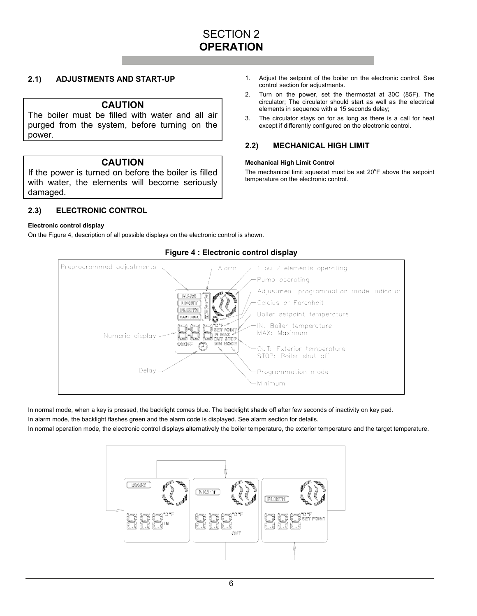## SECTION 2 **OPERATION**

#### **2.1) ADJUSTMENTS AND START-UP**

#### **CAUTION**

The boiler must be filled with water and all air purged from the system, before turning on the power.

#### **CAUTION**

If the power is turned on before the boiler is filled with water, the elements will become seriously damaged.

**2.3) ELECTRONIC CONTROL** 

#### **Electronic control display**

On the Figure 4, description of all possible displays on the electronic control is shown.

Preprogrammed adjustments. 1 ou 2 elements operating Alarm Pump operating Adjustment programmation mode indicator Celcius or Farenheit Boiler setpoint temperature IN: Boiler temperature MAX: Maximum Numeric display. OUT: Exterior temperature STOP: Boiler shut off Delay Programmation mode Minimum

#### **Figure 4 : Electronic control display**

In normal mode, when a key is pressed, the backlight comes blue. The backlight shade off after few seconds of inactivity on key pad.

In alarm mode, the backlight flashes green and the alarm code is displayed. See alarm section for details.

In normal operation mode, the electronic control displays alternatively the boiler temperature, the exterior temperature and the target temperature.



- 1. Adjust the setpoint of the boiler on the electronic control. See control section for adjustments.
- 2. Turn on the power, set the thermostat at 30C (85F). The circulator; The circulator should start as well as the electrical elements in sequence with a 15 seconds delay;
- 3. The circulator stays on for as long as there is a call for heat except if differently configured on the electronic control.

#### **2.2) MECHANICAL HIGH LIMIT**

#### **Mechanical High Limit Control**

The mechanical limit aquastat must be set 20°F above the setpoint temperature on the electronic control.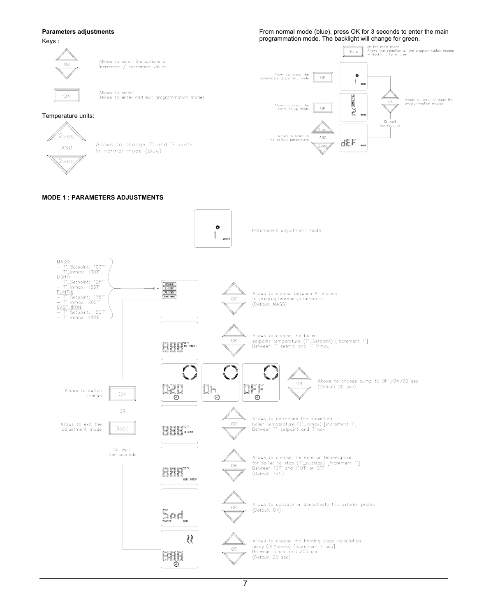**Parameters adjustments** 

Keys :

From normal mode (blue), press OK for 3 seconds to enter the main programmation mode. The backlight will change for green.

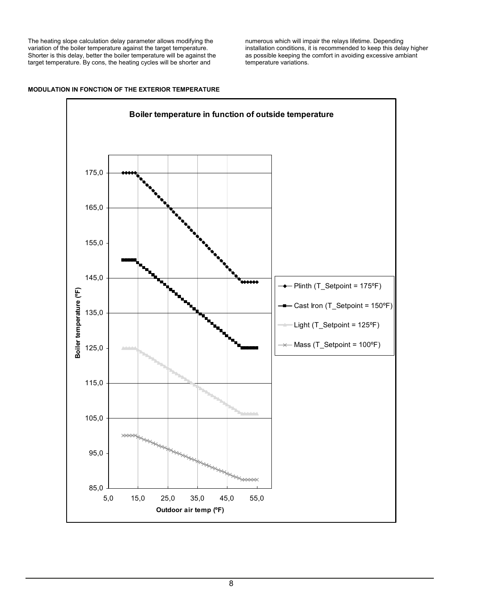The heating slope calculation delay parameter allows modifying the variation of the boiler temperature against the target temperature. Shorter is this delay, better the boiler temperature will be against the target temperature. By cons, the heating cycles will be shorter and

numerous which will impair the relays lifetime. Depending installation conditions, it is recommended to keep this delay higher as possible keeping the comfort in avoiding excessive ambiant temperature variations.

#### **MODULATION IN FONCTION OF THE EXTERIOR TEMPERATURE**

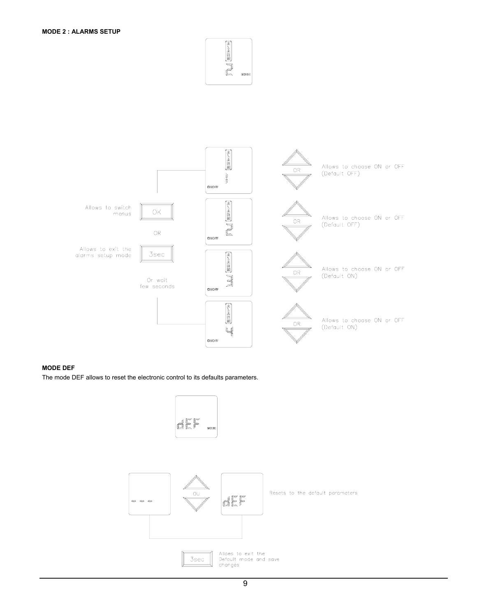



#### **MODE DEF**

The mode DEF allows to reset the electronic control to its defaults parameters.

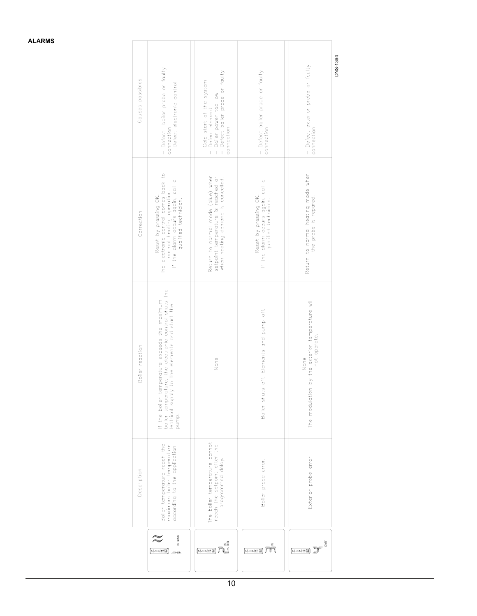|                 | Description                                                                                 | Boiler reaction                                                                                                                                                  | Correction                                                                                                                                               | Causes possibles                                                                                                           |
|-----------------|---------------------------------------------------------------------------------------------|------------------------------------------------------------------------------------------------------------------------------------------------------------------|----------------------------------------------------------------------------------------------------------------------------------------------------------|----------------------------------------------------------------------------------------------------------------------------|
| IN MAX<br>34383 | Boiler temperature reach the<br>maximum boiler temperature<br>according to the application. | If the boiler temperature exceeds the maximum<br>boiler temperature, the electronic control shuts the<br>lectrical supply to the elements and start the<br>pump. | Reset by pressing OK.<br>The electronic control comes back to<br>If the alarm occurs again, call a<br>normal heating operation.<br>qualified technician. | - Defect boiler probe or faulty<br>- Defect electronic control<br>connection                                               |
| (≼⊿≼≝≊) ∦       | The boiler temperature cannot<br>reach the setpoint after the<br>programmed delay.          | None                                                                                                                                                             | Return to normal mode (blue) when<br>setpoint temperature is reached or<br>when heating demand is cancelled.                                             | - Cold start of the system.<br>- Defect element<br>- Boiler power too low<br>- Defect boiler probe or faulty<br>connection |
| 34383           | Boiler probe error.                                                                         | Boiler shuts off. Elements and pump off.                                                                                                                         | If the alarm occurs again, call a<br>qualified technician.<br>Reset by pressing OK.                                                                      | - Defect boiler probe or faulty<br>connection                                                                              |
| ā<br>34383      | Exterior probe error                                                                        | by the exterior temperature will<br>not operate.<br>None<br>The modulation                                                                                       | Return to normal heating mode when<br>the probe is repared.                                                                                              | - Defect exterior probe or faulty<br>connection                                                                            |
|                 |                                                                                             |                                                                                                                                                                  |                                                                                                                                                          | DNS-1364                                                                                                                   |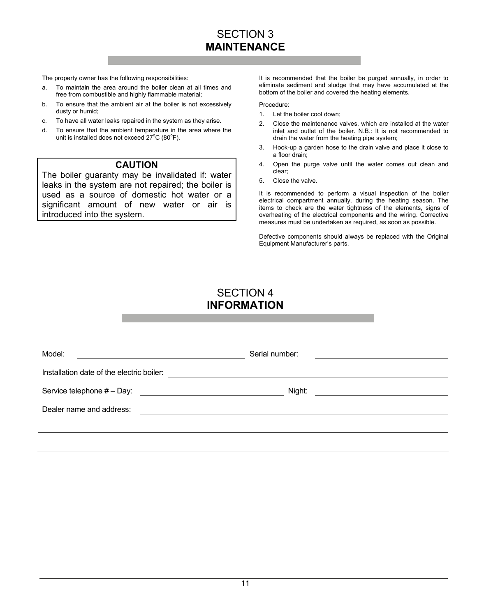# SECTION 3 **MAINTENANCE**

The property owner has the following responsibilities:

- a. To maintain the area around the boiler clean at all times and free from combustible and highly flammable material;
- b. To ensure that the ambient air at the boiler is not excessively dusty or humid;
- c. To have all water leaks repaired in the system as they arise.
- d. To ensure that the ambient temperature in the area where the unit is installed does not exceed  $27^{\circ}$ C (80 $^{\circ}$ F).

#### **CAUTION**

The boiler guaranty may be invalidated if: water leaks in the system are not repaired; the boiler is used as a source of domestic hot water or a significant amount of new water or air is introduced into the system.

It is recommended that the boiler be purged annually, in order to eliminate sediment and sludge that may have accumulated at the bottom of the boiler and covered the heating elements.

Procedure:

- 1. Let the boiler cool down;
- 2. Close the maintenance valves, which are installed at the water inlet and outlet of the boiler. N.B.: It is not recommended to drain the water from the heating pipe system;
- 3. Hook-up a garden hose to the drain valve and place it close to a floor drain;
- 4. Open the purge valve until the water comes out clean and clear;
- 5. Close the valve.

It is recommended to perform a visual inspection of the boiler electrical compartment annually, during the heating season. The items to check are the water tightness of the elements, signs of overheating of the electrical components and the wiring. Corrective measures must be undertaken as required, as soon as possible.

Defective components should always be replaced with the Original Equipment Manufacturer's parts.

## SECTION 4 **INFORMATION**

| Model:                                                                                                                                             | Serial number: |  |
|----------------------------------------------------------------------------------------------------------------------------------------------------|----------------|--|
| Installation date of the electric boiler:                                                                                                          |                |  |
| Service telephone # - Day:<br><u> 1980 - Jan Samuel Barbara, politik eta politik eta politik eta politik eta politik eta politik eta politik e</u> | Night:         |  |
| Dealer name and address:                                                                                                                           |                |  |
|                                                                                                                                                    |                |  |
|                                                                                                                                                    |                |  |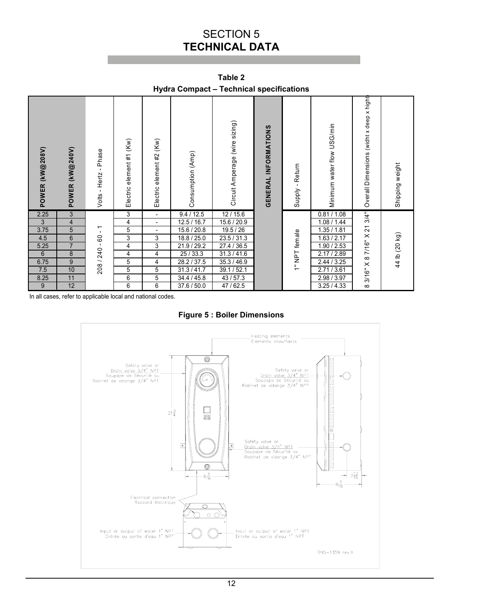# SECTION 5 **TECHNICAL DATA**

| <b>Tydia Compact – Technical Specifications</b> |                         |                            |                             |                             |                   |                                |                      |                 |                            |                                          |                 |
|-------------------------------------------------|-------------------------|----------------------------|-----------------------------|-----------------------------|-------------------|--------------------------------|----------------------|-----------------|----------------------------|------------------------------------------|-----------------|
| POWER (kW@208V)                                 | POWER (KW@240V)         | - Hertz - Phase<br>Volts - | (Kw)<br>Electric element #1 | (Kw)<br>Electric element #2 | Consumption (Amp) | Circuit Amperage (wire sizing) | GENERAL INFORMATIONS | Supply - Return | Minimum water flow USG/min | Overall Dimensions (widht x deep x hight | Shipping weight |
| 2.25                                            | $\overline{3}$          |                            | $\overline{3}$              | $\overline{\phantom{a}}$    | 9.4 / 12.5        | 12/15.6                        |                      |                 | 0.81 / 1.08                | 3/4"                                     |                 |
| $\mathbf{3}$                                    | $\overline{\mathbf{4}}$ |                            | 4                           | $\overline{\phantom{a}}$    | 12.5 / 16.7       | 15.6 / 20.9                    |                      |                 | 1.08 / 1.44                |                                          |                 |
| 3.75                                            | 5                       | $\overline{a}$             | 5                           | $\overline{\phantom{a}}$    | 15.6 / 20.8       | 19.5 / 26                      |                      |                 | 1.35 / 1.81                |                                          |                 |
| 4.5                                             | $6\,$                   | $\mathtt{S}$               | 3                           | $\overline{3}$              | 18.8 / 25.0       | 23.5 / 31.3                    |                      |                 | 1.63 / 2.17                |                                          |                 |
| 5.25                                            | $\overline{7}$          |                            | 4                           | $\overline{3}$              | 21.9 / 29.2       | 27.4 / 36.5                    |                      |                 | 1.90 / 2.53                |                                          |                 |
| $\boldsymbol{6}$                                | 8                       |                            | 4                           | 4                           | 25/33.3           | 31.3 / 41.6                    |                      |                 | 2.17 / 2.89                |                                          |                 |
| 6.75                                            | 9                       | 208 / 240 -                | 5                           | 4                           | 28.2 / 37.5       | 35.3 / 46.9                    |                      | 1" NPT female   | 2.44 / 3.25                |                                          | 44 lb (20 kg)   |
| 7.5                                             | 10                      |                            | 5                           | 5                           | 31.3 / 41.7       | 39.1 / 52.1                    |                      |                 | 2.71 / 3.61                | 3/16" X 8 7/16" X 21                     |                 |
| 8.25                                            | 11                      |                            | 6                           | 5                           | 34.4 / 45.8       | 43/57.3                        |                      |                 | 2.98 / 3.97                |                                          |                 |
| 9                                               | 12                      |                            | 6                           | 6                           | 37.6 / 50.0       | 47 / 62.5                      |                      |                 | 3.25/4.33                  | $\infty$                                 |                 |

**Table 2 Hydra Compact – Technical specifications** 

In all cases, refer to applicable local and national codes.

**Figure 5 : Boiler Dimensions** 

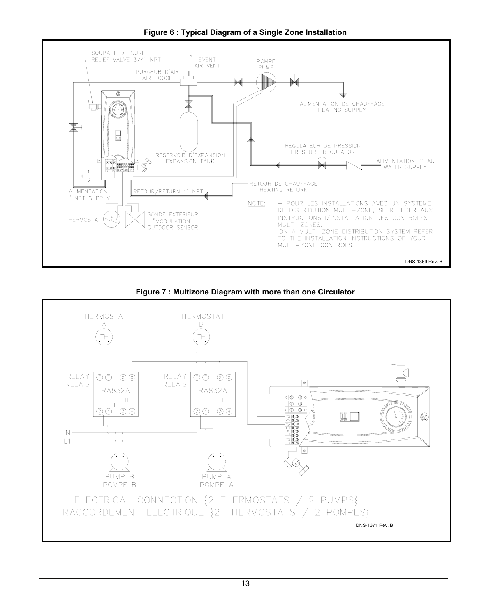

**Figure 6 : Typical Diagram of a Single Zone Installation** 



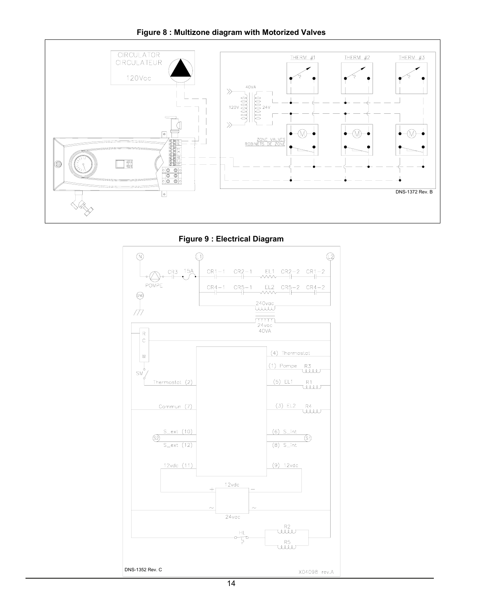#### **Figure 8 : Multizone diagram with Motorized Valves**



**Figure 9 : Electrical Diagram** 

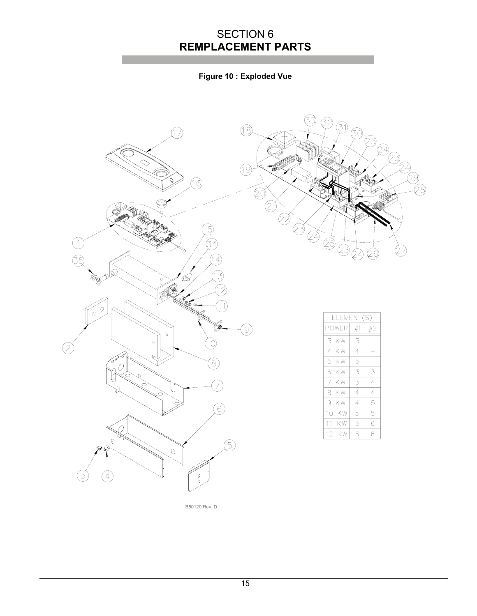# SECTION 6 **REMPLACEMENT PARTS**

## **Figure 10 : Exploded Vue**





| ELEMENT(S) |    |    |  |  |  |  |
|------------|----|----|--|--|--|--|
| POWER      | #1 | #2 |  |  |  |  |
| 3<br>ΚW    | 3  |    |  |  |  |  |
| 4<br>ΚW    | 4  |    |  |  |  |  |
| 5<br>ΚW    | 5  |    |  |  |  |  |
| 6<br>ΚW    | 3  | 3  |  |  |  |  |
| 7<br>ΚW    | 3  | 4  |  |  |  |  |
| 8<br>ΚW    | 4  | 4  |  |  |  |  |
| 9<br>ΚW    | 4  | 5  |  |  |  |  |
| ΚW<br>10   | 5  | 5  |  |  |  |  |
| 11<br>ΚW   | 5  | 6  |  |  |  |  |
| KW<br>12   | 6  | 6  |  |  |  |  |

B50120 Rev. D